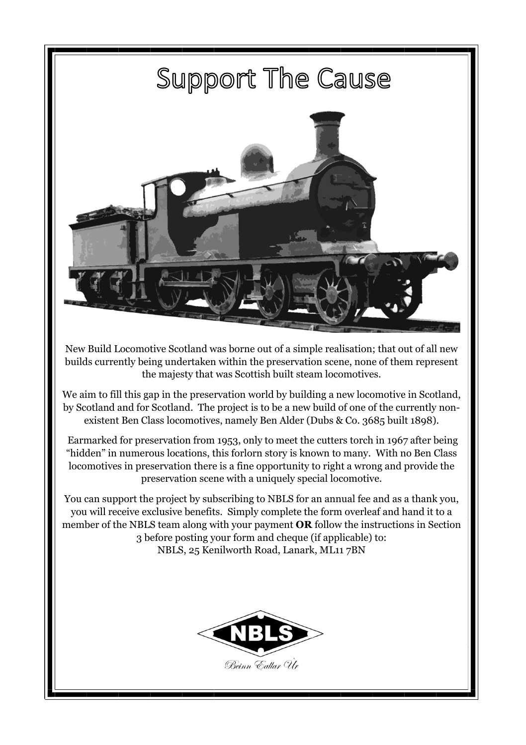

New Build Locomotive Scotland was borne out of a simple realisation; that out of all new builds currently being undertaken within the preservation scene, none of them represent the majesty that was Scottish built steam locomotives.

We aim to fill this gap in the preservation world by building a new locomotive in Scotland, by Scotland and for Scotland. The project is to be a new build of one of the currently nonexistent Ben Class locomotives, namely Ben Alder (Dubs & Co. 3685 built 1898).

Earmarked for preservation from 1953, only to meet the cutters torch in 1967 after being "hidden" in numerous locations, this forlorn story is known to many. With no Ben Class locomotives in preservation there is a fine opportunity to right a wrong and provide the preservation scene with a uniquely special locomotive.

You can support the project by subscribing to NBLS for an annual fee and as a thank you, you will receive exclusive benefits. Simply complete the form overleaf and hand it to a member of the NBLS team along with your payment **OR** follow the instructions in Section 3 before posting your form and cheque (if applicable) to: NBLS, 25 Kenilworth Road, Lanark, ML11 7BN